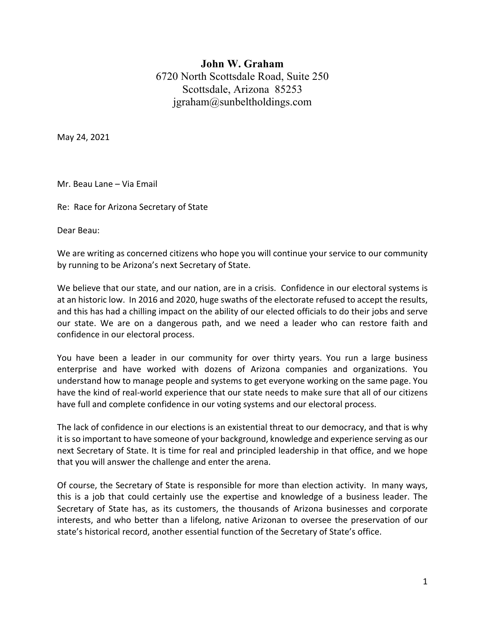## **John W. Graham** 6720 North Scottsdale Road, Suite 250 Scottsdale, Arizona 85253 jgraham@sunbeltholdings.com

May 24, 2021

Mr. Beau Lane – Via Email

Re: Race for Arizona Secretary of State

Dear Beau:

We are writing as concerned citizens who hope you will continue your service to our community by running to be Arizona's next Secretary of State.

We believe that our state, and our nation, are in a crisis. Confidence in our electoral systems is at an historic low. In 2016 and 2020, huge swaths of the electorate refused to accept the results, and this has had a chilling impact on the ability of our elected officials to do their jobs and serve our state. We are on a dangerous path, and we need a leader who can restore faith and confidence in our electoral process.

You have been a leader in our community for over thirty years. You run a large business enterprise and have worked with dozens of Arizona companies and organizations. You understand how to manage people and systems to get everyone working on the same page. You have the kind of real-world experience that our state needs to make sure that all of our citizens have full and complete confidence in our voting systems and our electoral process.

The lack of confidence in our elections is an existential threat to our democracy, and that is why it is so important to have someone of your background, knowledge and experience serving as our next Secretary of State. It is time for real and principled leadership in that office, and we hope that you will answer the challenge and enter the arena.

Of course, the Secretary of State is responsible for more than election activity. In many ways, this is a job that could certainly use the expertise and knowledge of a business leader. The Secretary of State has, as its customers, the thousands of Arizona businesses and corporate interests, and who better than a lifelong, native Arizonan to oversee the preservation of our state's historical record, another essential function of the Secretary of State's office.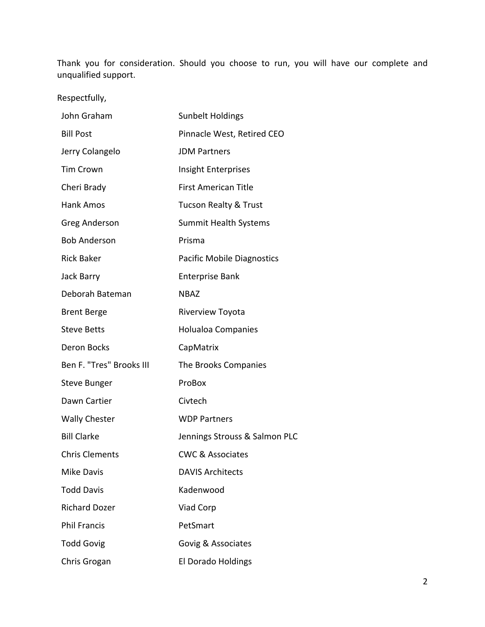Thank you for consideration. Should you choose to run, you will have our complete and unqualified support.

Respectfully,

| John Graham              | <b>Sunbelt Holdings</b>           |
|--------------------------|-----------------------------------|
| <b>Bill Post</b>         | Pinnacle West, Retired CEO        |
| Jerry Colangelo          | <b>JDM Partners</b>               |
| <b>Tim Crown</b>         | Insight Enterprises               |
| Cheri Brady              | <b>First American Title</b>       |
| <b>Hank Amos</b>         | <b>Tucson Realty &amp; Trust</b>  |
| Greg Anderson            | <b>Summit Health Systems</b>      |
| <b>Bob Anderson</b>      | Prisma                            |
| <b>Rick Baker</b>        | <b>Pacific Mobile Diagnostics</b> |
| Jack Barry               | <b>Enterprise Bank</b>            |
| Deborah Bateman          | <b>NBAZ</b>                       |
| <b>Brent Berge</b>       | <b>Riverview Toyota</b>           |
| <b>Steve Betts</b>       | Holualoa Companies                |
| <b>Deron Bocks</b>       | CapMatrix                         |
| Ben F. "Tres" Brooks III | The Brooks Companies              |
| <b>Steve Bunger</b>      | ProBox                            |
| Dawn Cartier             | Civtech                           |
| <b>Wally Chester</b>     | <b>WDP Partners</b>               |
| <b>Bill Clarke</b>       | Jennings Strouss & Salmon PLC     |
| <b>Chris Clements</b>    | <b>CWC &amp; Associates</b>       |
| <b>Mike Davis</b>        | <b>DAVIS Architects</b>           |
| <b>Todd Davis</b>        | Kadenwood                         |
| <b>Richard Dozer</b>     | <b>Viad Corp</b>                  |
| <b>Phil Francis</b>      | PetSmart                          |
| <b>Todd Govig</b>        | Govig & Associates                |
| Chris Grogan             | El Dorado Holdings                |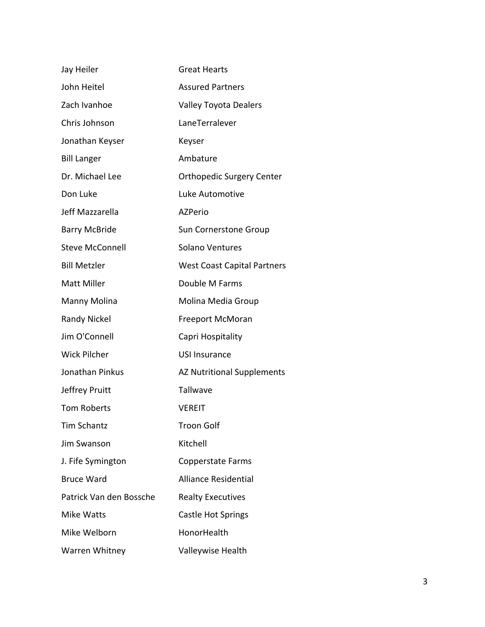| Jay Heiler              | <b>Great Hearts</b>                |
|-------------------------|------------------------------------|
| John Heitel             | <b>Assured Partners</b>            |
| Zach Ivanhoe            | <b>Valley Toyota Dealers</b>       |
| Chris Johnson           | LaneTerralever                     |
| Jonathan Keyser         | Keyser                             |
| <b>Bill Langer</b>      | Ambature                           |
| Dr. Michael Lee         | <b>Orthopedic Surgery Center</b>   |
| Don Luke                | Luke Automotive                    |
| Jeff Mazzarella         | <b>AZPerio</b>                     |
| <b>Barry McBride</b>    | <b>Sun Cornerstone Group</b>       |
| <b>Steve McConnell</b>  | <b>Solano Ventures</b>             |
| <b>Bill Metzler</b>     | <b>West Coast Capital Partners</b> |
| <b>Matt Miller</b>      | Double M Farms                     |
| Manny Molina            | Molina Media Group                 |
| <b>Randy Nickel</b>     | <b>Freeport McMoran</b>            |
| Jim O'Connell           | Capri Hospitality                  |
| <b>Wick Pilcher</b>     | <b>USI Insurance</b>               |
| Jonathan Pinkus         | <b>AZ Nutritional Supplements</b>  |
| Jeffrey Pruitt          | Tallwave                           |
| <b>Tom Roberts</b>      | <b>VEREIT</b>                      |
| <b>Tim Schantz</b>      | <b>Troon Golf</b>                  |
| Jim Swanson             | Kitchell                           |
| J. Fife Symington       | <b>Copperstate Farms</b>           |
| <b>Bruce Ward</b>       | <b>Alliance Residential</b>        |
| Patrick Van den Bossche | <b>Realty Executives</b>           |
| <b>Mike Watts</b>       | <b>Castle Hot Springs</b>          |
| Mike Welborn            | HonorHealth                        |
| Warren Whitney          | Valleywise Health                  |